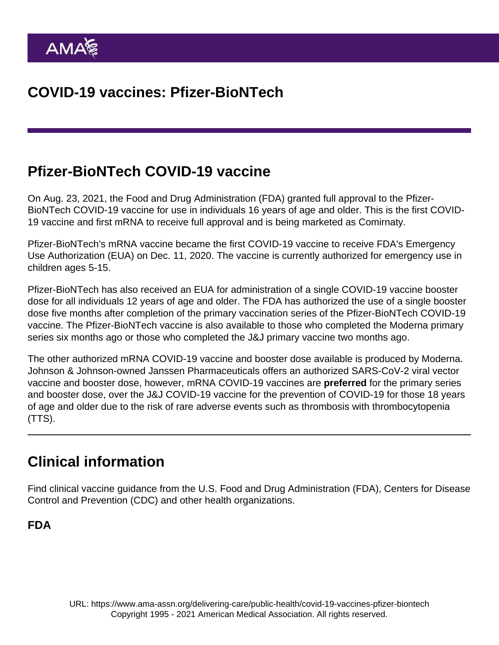## Pfizer-BioNTech COVID-19 vaccine

On Aug. 23, 2021, the Food and Drug Administration (FDA) granted full approval to the [Pfizer-](https://www.ama-assn.org/delivering-care/public-health/8-things-physicians-and-patients-need-know-about-pfizer-vaccine)[BioNTech COVID-19 vaccine](https://www.ama-assn.org/delivering-care/public-health/8-things-physicians-and-patients-need-know-about-pfizer-vaccine) for use in individuals 16 years of age and older. This is the first COVID-19 vaccine and first mRNA to receive full approval and is being marketed as Comirnaty.

Pfizer-BioNTech's mRNA vaccine became the first COVID-19 vaccine to receive FDA's Emergency Use Authorization (EUA) on Dec. 11, 2020. The vaccine is currently authorized for emergency use in children ages 5-15.

Pfizer-BioNTech has also received an EUA for administration of a single COVID-19 vaccine booster dose for all individuals 12 years of age and older. The FDA has authorized the use of a single booster dose five months after completion of the primary vaccination series of the Pfizer-BioNTech COVID-19 vaccine. The Pfizer-BioNTech vaccine is also available to those who completed the Moderna primary series six months ago or those who completed the J&J primary vaccine two months ago.

The other authorized mRNA COVID-19 vaccine and booster dose available is produced by [Moderna.](https://www.ama-assn.org/delivering-care/public-health/covid-19-vaccines-moderna) [Johnson & Johnson-owned Janssen](https://www.ama-assn.org/delivering-care/public-health/covid-19-vaccines-janssenjohnson-johnson) Pharmaceuticals offers an authorized SARS-CoV-2 viral vector vaccine and booster dose, however, mRNA COVID-19 vaccines are preferred for the primary series and booster dose, over the J&J COVID-19 vaccine for the prevention of COVID-19 for those 18 years of age and older due to the risk of rare adverse events such as thrombosis with thrombocytopenia (TTS).

### Clinical information

Find clinical vaccine guidance from the U.S. Food and Drug Administration (FDA), Centers for Disease Control and Prevention (CDC) and other health organizations.

FDA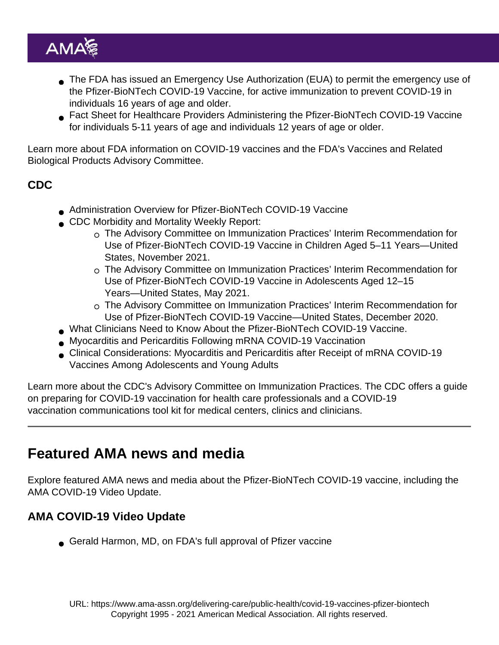- The FDA has issued an [Emergency Use Authorization](https://www.fda.gov/emergency-preparedness-and-response/coronavirus-disease-2019-covid-19/comirnaty-and-pfizer-biontech-covid-19-vaccine) (EUA) to permit the emergency use of the Pfizer-BioNTech COVID-19 Vaccine, for active immunization to prevent COVID-19 in individuals 16 years of age and older.
- [Fact Sheet for Healthcare Providers Administering the Pfizer-BioNTech COVID-19 Vaccine](https://www.fda.gov/media/144413/download) for [individuals 5-11 years of age](https://www.fda.gov/media/153714/download) and [individuals 12 years of age or older.](https://www.fda.gov/media/153713/download)

Learn more about [FDA information on COVID-19 vaccines](https://www.fda.gov/emergency-preparedness-and-response/coronavirus-disease-2019-covid-19/covid-19-vaccines) and the FDA's [Vaccines and Related](https://www.fda.gov/advisory-committees/vaccines-and-related-biological-products-advisory-committee/2021-meeting-materials-vaccines-and-related-biological-products-advisory-committee) [Biological Products Advisory Committee.](https://www.fda.gov/advisory-committees/vaccines-and-related-biological-products-advisory-committee/2021-meeting-materials-vaccines-and-related-biological-products-advisory-committee)

### CDC

- [Administration Overview for Pfizer-BioNTech COVID-19 Vaccine](https://www.cdc.gov/vaccines/covid-19/info-by-product/pfizer/index.html)
- CDC Morbidity and Mortality Weekly Report:
	- $\circ$  [The Advisory Committee on Immunization Practices' Interim Recommendation for](https://www.cdc.gov/mmwr/volumes/70/wr/mm7045e1.htm) [Use of Pfizer-BioNTech COVID-19 Vaccine in Children Aged 5–11 Years—United](https://www.cdc.gov/mmwr/volumes/70/wr/mm7045e1.htm) [States, November 2021.](https://www.cdc.gov/mmwr/volumes/70/wr/mm7045e1.htm)
	- [The Advisory Committee on Immunization Practices' Interim Recommendation for](https://www.cdc.gov/mmwr/volumes/70/wr/mm7020e1.htm) [Use of Pfizer-BioNTech COVID-19 Vaccine in Adolescents Aged 12–15](https://www.cdc.gov/mmwr/volumes/70/wr/mm7020e1.htm) [Years—United States, May 2021](https://www.cdc.gov/mmwr/volumes/70/wr/mm7020e1.htm).
	- [The Advisory Committee on Immunization Practices' Interim Recommendation for](https://www.cdc.gov/mmwr/volumes/69/wr/mm6950e2.htm?s_cid=mm6950e2_x) [Use of Pfizer-BioNTech COVID-19 Vaccine—United States, December 2020.](https://www.cdc.gov/mmwr/volumes/69/wr/mm6950e2.htm?s_cid=mm6950e2_x)
- [What Clinicians Need to Know About the Pfizer-BioNTech COVID-19 Vaccine](https://www.cdc.gov/vaccines/covid-19/downloads/pfizer-biontech-vaccine-what-Clinicians-need-to-know.pdf).
- [Myocarditis and Pericarditis Following mRNA COVID-19 Vaccination](https://www.cdc.gov/coronavirus/2019-ncov/vaccines/safety/myocarditis.html)
- [Clinical Considerations: Myocarditis and Pericarditis after Receipt of mRNA COVID-19](https://www.cdc.gov/vaccines/covid-19/clinical-considerations/myocarditis.html) [Vaccines Among Adolescents and Young Adults](https://www.cdc.gov/vaccines/covid-19/clinical-considerations/myocarditis.html)

Learn more about the CDC's [Advisory Committee on Immunization Practices](https://www.cdc.gov/vaccines/acip/index.html). The CDC offers a [guide](https://www.cdc.gov/vaccines/covid-19/hcp/index.html) [on preparing for COVID-19 vaccination](https://www.cdc.gov/vaccines/covid-19/hcp/index.html) for health care professionals and a [COVID-19](https://www.cdc.gov/vaccines/covid-19/health-systems-communication-toolkit.html) [vaccination communications tool kit](https://www.cdc.gov/vaccines/covid-19/health-systems-communication-toolkit.html) for medical centers, clinics and clinicians.

# Featured AMA news and media

Explore featured AMA news and media about the Pfizer-BioNTech COVID-19 vaccine, including the [AMA COVID-19 Video Update.](https://www.ama-assn.org/series/covid-19-video-updates)

#### AMA COVID-19 Video Update

[Gerald Harmon, MD, on FDA's full approval of Pfizer vaccine](https://www.ama-assn.org/delivering-care/public-health/gerald-harmon-md-fdas-full-approval-pfizer-vaccine)